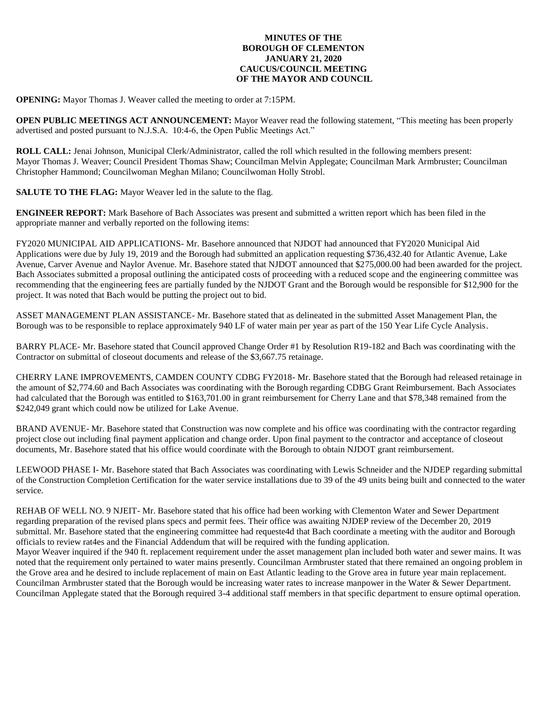## **MINUTES OF THE BOROUGH OF CLEMENTON JANUARY 21, 2020 CAUCUS/COUNCIL MEETING OF THE MAYOR AND COUNCIL**

**OPENING:** Mayor Thomas J. Weaver called the meeting to order at 7:15PM.

**OPEN PUBLIC MEETINGS ACT ANNOUNCEMENT:** Mayor Weaver read the following statement, "This meeting has been properly advertised and posted pursuant to N.J.S.A. 10:4-6, the Open Public Meetings Act."

**ROLL CALL:** Jenai Johnson, Municipal Clerk/Administrator, called the roll which resulted in the following members present: Mayor Thomas J. Weaver; Council President Thomas Shaw; Councilman Melvin Applegate; Councilman Mark Armbruster; Councilman Christopher Hammond; Councilwoman Meghan Milano; Councilwoman Holly Strobl.

**SALUTE TO THE FLAG:** Mayor Weaver led in the salute to the flag.

**ENGINEER REPORT:** Mark Basehore of Bach Associates was present and submitted a written report which has been filed in the appropriate manner and verbally reported on the following items:

FY2020 MUNICIPAL AID APPLICATIONS- Mr. Basehore announced that NJDOT had announced that FY2020 Municipal Aid Applications were due by July 19, 2019 and the Borough had submitted an application requesting \$736,432.40 for Atlantic Avenue, Lake Avenue, Carver Avenue and Naylor Avenue. Mr. Basehore stated that NJDOT announced that \$275,000.00 had been awarded for the project. Bach Associates submitted a proposal outlining the anticipated costs of proceeding with a reduced scope and the engineering committee was recommending that the engineering fees are partially funded by the NJDOT Grant and the Borough would be responsible for \$12,900 for the project. It was noted that Bach would be putting the project out to bid.

ASSET MANAGEMENT PLAN ASSISTANCE- Mr. Basehore stated that as delineated in the submitted Asset Management Plan, the Borough was to be responsible to replace approximately 940 LF of water main per year as part of the 150 Year Life Cycle Analysis.

BARRY PLACE- Mr. Basehore stated that Council approved Change Order #1 by Resolution R19-182 and Bach was coordinating with the Contractor on submittal of closeout documents and release of the \$3,667.75 retainage.

CHERRY LANE IMPROVEMENTS, CAMDEN COUNTY CDBG FY2018- Mr. Basehore stated that the Borough had released retainage in the amount of \$2,774.60 and Bach Associates was coordinating with the Borough regarding CDBG Grant Reimbursement. Bach Associates had calculated that the Borough was entitled to \$163,701.00 in grant reimbursement for Cherry Lane and that \$78,348 remained from the \$242,049 grant which could now be utilized for Lake Avenue.

BRAND AVENUE- Mr. Basehore stated that Construction was now complete and his office was coordinating with the contractor regarding project close out including final payment application and change order. Upon final payment to the contractor and acceptance of closeout documents, Mr. Basehore stated that his office would coordinate with the Borough to obtain NJDOT grant reimbursement.

LEEWOOD PHASE I- Mr. Basehore stated that Bach Associates was coordinating with Lewis Schneider and the NJDEP regarding submittal of the Construction Completion Certification for the water service installations due to 39 of the 49 units being built and connected to the water service.

REHAB OF WELL NO. 9 NJEIT- Mr. Basehore stated that his office had been working with Clementon Water and Sewer Department regarding preparation of the revised plans specs and permit fees. Their office was awaiting NJDEP review of the December 20, 2019 submittal. Mr. Basehore stated that the engineering committee had requeste4d that Bach coordinate a meeting with the auditor and Borough officials to review rat4es and the Financial Addendum that will be required with the funding application.

Mayor Weaver inquired if the 940 ft. replacement requirement under the asset management plan included both water and sewer mains. It was noted that the requirement only pertained to water mains presently. Councilman Armbruster stated that there remained an ongoing problem in the Grove area and he desired to include replacement of main on East Atlantic leading to the Grove area in future year main replacement. Councilman Armbruster stated that the Borough would be increasing water rates to increase manpower in the Water & Sewer Department. Councilman Applegate stated that the Borough required 3-4 additional staff members in that specific department to ensure optimal operation.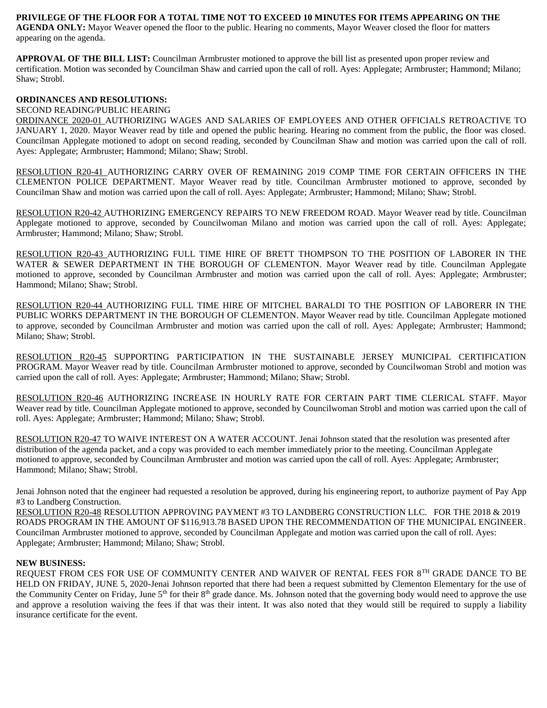## **PRIVILEGE OF THE FLOOR FOR A TOTAL TIME NOT TO EXCEED 10 MINUTES FOR ITEMS APPEARING ON THE**

**AGENDA ONLY:** Mayor Weaver opened the floor to the public. Hearing no comments, Mayor Weaver closed the floor for matters appearing on the agenda.

**APPROVAL OF THE BILL LIST:** Councilman Armbruster motioned to approve the bill list as presented upon proper review and certification. Motion was seconded by Councilman Shaw and carried upon the call of roll. Ayes: Applegate; Armbruster; Hammond; Milano; Shaw; Strobl.

### **ORDINANCES AND RESOLUTIONS:**

#### SECOND READING/PUBLIC HEARING

ORDINANCE 2020-01 AUTHORIZING WAGES AND SALARIES OF EMPLOYEES AND OTHER OFFICIALS RETROACTIVE TO JANUARY 1, 2020. Mayor Weaver read by title and opened the public hearing. Hearing no comment from the public, the floor was closed. Councilman Applegate motioned to adopt on second reading, seconded by Councilman Shaw and motion was carried upon the call of roll. Ayes: Applegate; Armbruster; Hammond; Milano; Shaw; Strobl.

RESOLUTION R20-41 AUTHORIZING CARRY OVER OF REMAINING 2019 COMP TIME FOR CERTAIN OFFICERS IN THE CLEMENTON POLICE DEPARTMENT. Mayor Weaver read by title. Councilman Armbruster motioned to approve, seconded by Councilman Shaw and motion was carried upon the call of roll. Ayes: Applegate; Armbruster; Hammond; Milano; Shaw; Strobl.

RESOLUTION R20-42 AUTHORIZING EMERGENCY REPAIRS TO NEW FREEDOM ROAD. Mayor Weaver read by title. Councilman Applegate motioned to approve, seconded by Councilwoman Milano and motion was carried upon the call of roll. Ayes: Applegate; Armbruster; Hammond; Milano; Shaw; Strobl.

RESOLUTION R20-43 AUTHORIZING FULL TIME HIRE OF BRETT THOMPSON TO THE POSITION OF LABORER IN THE WATER & SEWER DEPARTMENT IN THE BOROUGH OF CLEMENTON. Mayor Weaver read by title. Councilman Applegate motioned to approve, seconded by Councilman Armbruster and motion was carried upon the call of roll. Ayes: Applegate; Armbruster; Hammond; Milano; Shaw; Strobl.

RESOLUTION R20-44 AUTHORIZING FULL TIME HIRE OF MITCHEL BARALDI TO THE POSITION OF LABORERR IN THE PUBLIC WORKS DEPARTMENT IN THE BOROUGH OF CLEMENTON. Mayor Weaver read by title. Councilman Applegate motioned to approve, seconded by Councilman Armbruster and motion was carried upon the call of roll. Ayes: Applegate; Armbruster; Hammond; Milano; Shaw; Strobl.

RESOLUTION R20-45 SUPPORTING PARTICIPATION IN THE SUSTAINABLE JERSEY MUNICIPAL CERTIFICATION PROGRAM. Mayor Weaver read by title. Councilman Armbruster motioned to approve, seconded by Councilwoman Strobl and motion was carried upon the call of roll. Ayes: Applegate; Armbruster; Hammond; Milano; Shaw; Strobl.

RESOLUTION R20-46 AUTHORIZING INCREASE IN HOURLY RATE FOR CERTAIN PART TIME CLERICAL STAFF. Mayor Weaver read by title. Councilman Applegate motioned to approve, seconded by Councilwoman Strobl and motion was carried upon the call of roll. Ayes: Applegate; Armbruster; Hammond; Milano; Shaw; Strobl.

RESOLUTION R20-47 TO WAIVE INTEREST ON A WATER ACCOUNT. Jenai Johnson stated that the resolution was presented after distribution of the agenda packet, and a copy was provided to each member immediately prior to the meeting. Councilman Applegate motioned to approve, seconded by Councilman Armbruster and motion was carried upon the call of roll. Ayes: Applegate; Armbruster; Hammond; Milano; Shaw; Strobl.

Jenai Johnson noted that the engineer had requested a resolution be approved, during his engineering report, to authorize payment of Pay App #3 to Landberg Construction.

RESOLUTION R20-48 RESOLUTION APPROVING PAYMENT #3 TO LANDBERG CONSTRUCTION LLC. FOR THE 2018 & 2019 ROADS PROGRAM IN THE AMOUNT OF \$116,913.78 BASED UPON THE RECOMMENDATION OF THE MUNICIPAL ENGINEER. Councilman Armbruster motioned to approve, seconded by Councilman Applegate and motion was carried upon the call of roll. Ayes: Applegate; Armbruster; Hammond; Milano; Shaw; Strobl.

#### **NEW BUSINESS:**

REQUEST FROM CES FOR USE OF COMMUNITY CENTER AND WAIVER OF RENTAL FEES FOR 8TH GRADE DANCE TO BE HELD ON FRIDAY, JUNE 5, 2020-Jenai Johnson reported that there had been a request submitted by Clementon Elementary for the use of the Community Center on Friday, June 5<sup>th</sup> for their 8<sup>th</sup> grade dance. Ms. Johnson noted that the governing body would need to approve the use and approve a resolution waiving the fees if that was their intent. It was also noted that they would still be required to supply a liability insurance certificate for the event.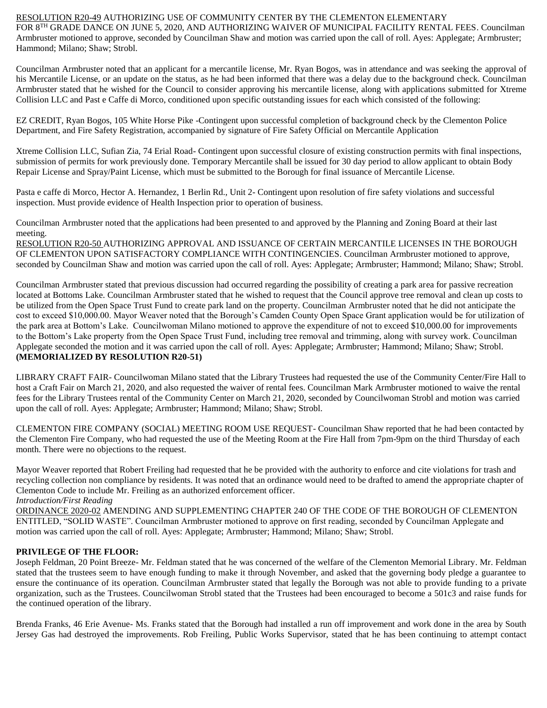#### RESOLUTION R20-49 AUTHORIZING USE OF COMMUNITY CENTER BY THE CLEMENTON ELEMENTARY FOR 8<sup>TH</sup> GRADE DANCE ON JUNE 5, 2020, AND AUTHORIZING WAIVER OF MUNICIPAL FACILITY RENTAL FEES. Councilman Armbruster motioned to approve, seconded by Councilman Shaw and motion was carried upon the call of roll. Ayes: Applegate; Armbruster; Hammond; Milano; Shaw; Strobl.

Councilman Armbruster noted that an applicant for a mercantile license, Mr. Ryan Bogos, was in attendance and was seeking the approval of his Mercantile License, or an update on the status, as he had been informed that there was a delay due to the background check. Councilman Armbruster stated that he wished for the Council to consider approving his mercantile license, along with applications submitted for Xtreme Collision LLC and Past e Caffe di Morco, conditioned upon specific outstanding issues for each which consisted of the following:

EZ CREDIT, Ryan Bogos, 105 White Horse Pike -Contingent upon successful completion of background check by the Clementon Police Department, and Fire Safety Registration, accompanied by signature of Fire Safety Official on Mercantile Application

Xtreme Collision LLC, Sufian Zia, 74 Erial Road- Contingent upon successful closure of existing construction permits with final inspections, submission of permits for work previously done. Temporary Mercantile shall be issued for 30 day period to allow applicant to obtain Body Repair License and Spray/Paint License, which must be submitted to the Borough for final issuance of Mercantile License.

Pasta e caffe di Morco, Hector A. Hernandez, 1 Berlin Rd., Unit 2- Contingent upon resolution of fire safety violations and successful inspection. Must provide evidence of Health Inspection prior to operation of business.

Councilman Armbruster noted that the applications had been presented to and approved by the Planning and Zoning Board at their last meeting.

RESOLUTION R20-50 AUTHORIZING APPROVAL AND ISSUANCE OF CERTAIN MERCANTILE LICENSES IN THE BOROUGH OF CLEMENTON UPON SATISFACTORY COMPLIANCE WITH CONTINGENCIES. Councilman Armbruster motioned to approve, seconded by Councilman Shaw and motion was carried upon the call of roll. Ayes: Applegate; Armbruster; Hammond; Milano; Shaw; Strobl.

Councilman Armbruster stated that previous discussion had occurred regarding the possibility of creating a park area for passive recreation located at Bottoms Lake. Councilman Armbruster stated that he wished to request that the Council approve tree removal and clean up costs to be utilized from the Open Space Trust Fund to create park land on the property. Councilman Armbruster noted that he did not anticipate the cost to exceed \$10,000.00. Mayor Weaver noted that the Borough's Camden County Open Space Grant application would be for utilization of the park area at Bottom's Lake. Councilwoman Milano motioned to approve the expenditure of not to exceed \$10,000.00 for improvements to the Bottom's Lake property from the Open Space Trust Fund, including tree removal and trimming, along with survey work. Councilman Applegate seconded the motion and it was carried upon the call of roll. Ayes: Applegate; Armbruster; Hammond; Milano; Shaw; Strobl. **(MEMORIALIZED BY RESOLUTION R20-51)**

LIBRARY CRAFT FAIR- Councilwoman Milano stated that the Library Trustees had requested the use of the Community Center/Fire Hall to host a Craft Fair on March 21, 2020, and also requested the waiver of rental fees. Councilman Mark Armbruster motioned to waive the rental fees for the Library Trustees rental of the Community Center on March 21, 2020, seconded by Councilwoman Strobl and motion was carried upon the call of roll. Ayes: Applegate; Armbruster; Hammond; Milano; Shaw; Strobl.

CLEMENTON FIRE COMPANY (SOCIAL) MEETING ROOM USE REQUEST- Councilman Shaw reported that he had been contacted by the Clementon Fire Company, who had requested the use of the Meeting Room at the Fire Hall from 7pm-9pm on the third Thursday of each month. There were no objections to the request.

Mayor Weaver reported that Robert Freiling had requested that he be provided with the authority to enforce and cite violations for trash and recycling collection non compliance by residents. It was noted that an ordinance would need to be drafted to amend the appropriate chapter of Clementon Code to include Mr. Freiling as an authorized enforcement officer. *Introduction/First Reading*

ORDINANCE 2020-02 AMENDING AND SUPPLEMENTING CHAPTER 240 OF THE CODE OF THE BOROUGH OF CLEMENTON ENTITLED, "SOLID WASTE". Councilman Armbruster motioned to approve on first reading, seconded by Councilman Applegate and motion was carried upon the call of roll. Ayes: Applegate; Armbruster; Hammond; Milano; Shaw; Strobl.

# **PRIVILEGE OF THE FLOOR:**

Joseph Feldman, 20 Point Breeze- Mr. Feldman stated that he was concerned of the welfare of the Clementon Memorial Library. Mr. Feldman stated that the trustees seem to have enough funding to make it through November, and asked that the governing body pledge a guarantee to ensure the continuance of its operation. Councilman Armbruster stated that legally the Borough was not able to provide funding to a private organization, such as the Trustees. Councilwoman Strobl stated that the Trustees had been encouraged to become a 501c3 and raise funds for the continued operation of the library.

Brenda Franks, 46 Erie Avenue- Ms. Franks stated that the Borough had installed a run off improvement and work done in the area by South Jersey Gas had destroyed the improvements. Rob Freiling, Public Works Supervisor, stated that he has been continuing to attempt contact